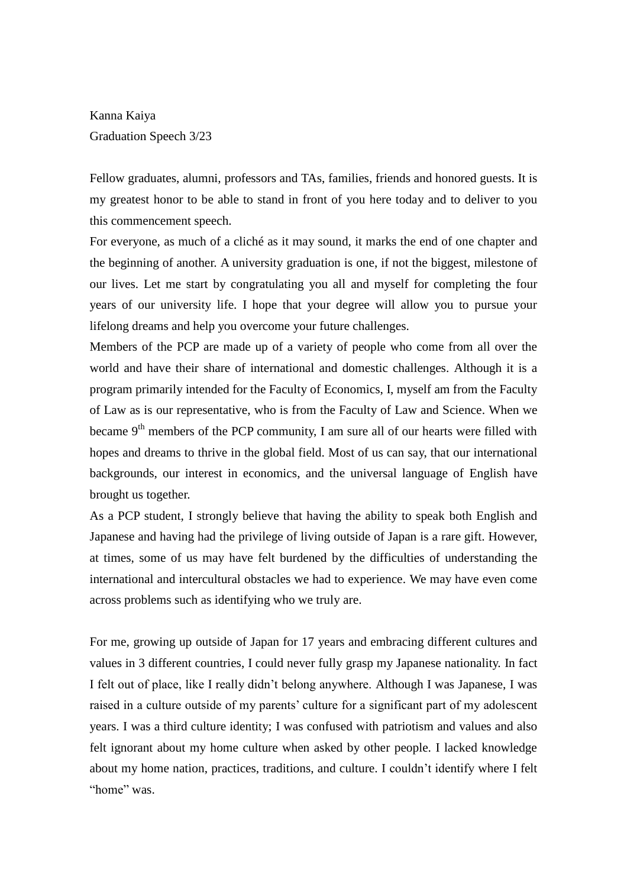Kanna Kaiya Graduation Speech 3/23

Fellow graduates, alumni, professors and TAs, families, friends and honored guests. It is my greatest honor to be able to stand in front of you here today and to deliver to you this commencement speech.

For everyone, as much of a cliché as it may sound, it marks the end of one chapter and the beginning of another. A university graduation is one, if not the biggest, milestone of our lives. Let me start by congratulating you all and myself for completing the four years of our university life. I hope that your degree will allow you to pursue your lifelong dreams and help you overcome your future challenges.

Members of the PCP are made up of a variety of people who come from all over the world and have their share of international and domestic challenges. Although it is a program primarily intended for the Faculty of Economics, I, myself am from the Faculty of Law as is our representative, who is from the Faculty of Law and Science. When we became  $9<sup>th</sup>$  members of the PCP community, I am sure all of our hearts were filled with hopes and dreams to thrive in the global field. Most of us can say, that our international backgrounds, our interest in economics, and the universal language of English have brought us together.

As a PCP student, I strongly believe that having the ability to speak both English and Japanese and having had the privilege of living outside of Japan is a rare gift. However, at times, some of us may have felt burdened by the difficulties of understanding the international and intercultural obstacles we had to experience. We may have even come across problems such as identifying who we truly are.

For me, growing up outside of Japan for 17 years and embracing different cultures and values in 3 different countries, I could never fully grasp my Japanese nationality. In fact I felt out of place, like I really didn't belong anywhere. Although I was Japanese, I was raised in a culture outside of my parents' culture for a significant part of my adolescent years. I was a third culture identity; I was confused with patriotism and values and also felt ignorant about my home culture when asked by other people. I lacked knowledge about my home nation, practices, traditions, and culture. I couldn't identify where I felt "home" was.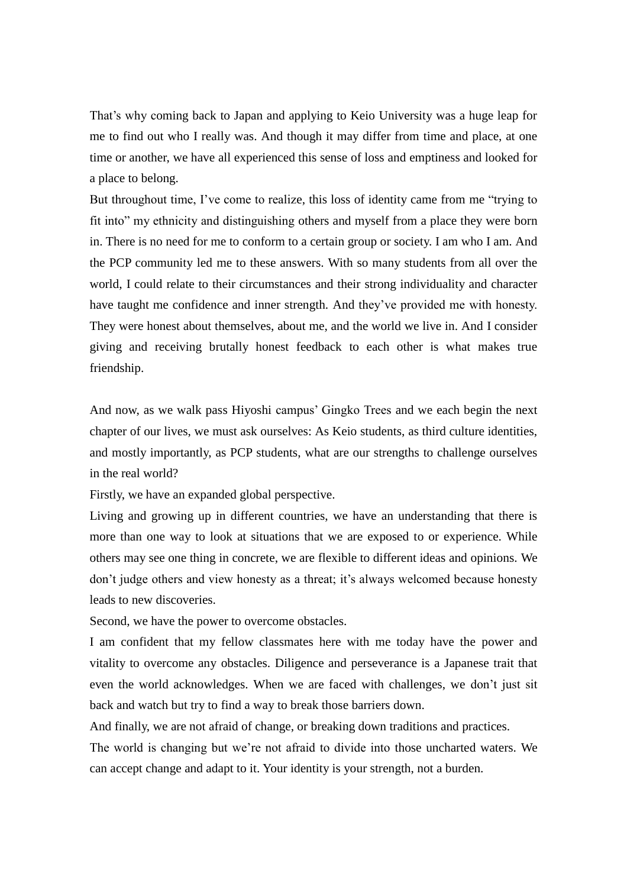That's why coming back to Japan and applying to Keio University was a huge leap for me to find out who I really was. And though it may differ from time and place, at one time or another, we have all experienced this sense of loss and emptiness and looked for a place to belong.

But throughout time, I've come to realize, this loss of identity came from me "trying to fit into" my ethnicity and distinguishing others and myself from a place they were born in. There is no need for me to conform to a certain group or society. I am who I am. And the PCP community led me to these answers. With so many students from all over the world, I could relate to their circumstances and their strong individuality and character have taught me confidence and inner strength. And they've provided me with honesty. They were honest about themselves, about me, and the world we live in. And I consider giving and receiving brutally honest feedback to each other is what makes true friendship.

And now, as we walk pass Hiyoshi campus' Gingko Trees and we each begin the next chapter of our lives, we must ask ourselves: As Keio students, as third culture identities, and mostly importantly, as PCP students, what are our strengths to challenge ourselves in the real world?

Firstly, we have an expanded global perspective.

Living and growing up in different countries, we have an understanding that there is more than one way to look at situations that we are exposed to or experience. While others may see one thing in concrete, we are flexible to different ideas and opinions. We don't judge others and view honesty as a threat; it's always welcomed because honesty leads to new discoveries.

Second, we have the power to overcome obstacles.

I am confident that my fellow classmates here with me today have the power and vitality to overcome any obstacles. Diligence and perseverance is a Japanese trait that even the world acknowledges. When we are faced with challenges, we don't just sit back and watch but try to find a way to break those barriers down.

And finally, we are not afraid of change, or breaking down traditions and practices.

The world is changing but we're not afraid to divide into those uncharted waters. We can accept change and adapt to it. Your identity is your strength, not a burden.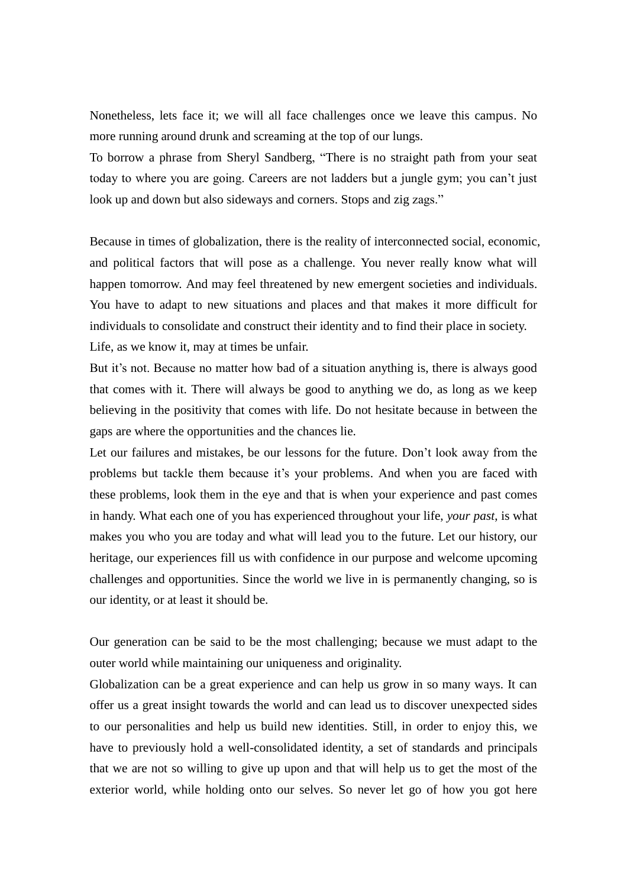Nonetheless, lets face it; we will all face challenges once we leave this campus. No more running around drunk and screaming at the top of our lungs.

To borrow a phrase from Sheryl Sandberg, "There is no straight path from your seat today to where you are going. Careers are not ladders but a jungle gym; you can't just look up and down but also sideways and corners. Stops and zig zags."

Because in times of globalization, there is the reality of interconnected social, economic, and political factors that will pose as a challenge. You never really know what will happen tomorrow. And may feel threatened by new emergent societies and individuals. You have to adapt to new situations and places and that makes it more difficult for individuals to consolidate and construct their identity and to find their place in society. Life, as we know it, may at times be unfair.

But it's not. Because no matter how bad of a situation anything is, there is always good that comes with it. There will always be good to anything we do, as long as we keep believing in the positivity that comes with life. Do not hesitate because in between the gaps are where the opportunities and the chances lie.

Let our failures and mistakes, be our lessons for the future. Don't look away from the problems but tackle them because it's your problems. And when you are faced with these problems, look them in the eye and that is when your experience and past comes in handy. What each one of you has experienced throughout your life, *your past*, is what makes you who you are today and what will lead you to the future. Let our history, our heritage, our experiences fill us with confidence in our purpose and welcome upcoming challenges and opportunities. Since the world we live in is permanently changing, so is our identity, or at least it should be.

Our generation can be said to be the most challenging; because we must adapt to the outer world while maintaining our uniqueness and originality.

Globalization can be a great experience and can help us grow in so many ways. It can offer us a great insight towards the world and can lead us to discover unexpected sides to our personalities and help us build new identities. Still, in order to enjoy this, we have to previously hold a well-consolidated identity, a set of standards and principals that we are not so willing to give up upon and that will help us to get the most of the exterior world, while holding onto our selves. So never let go of how you got here